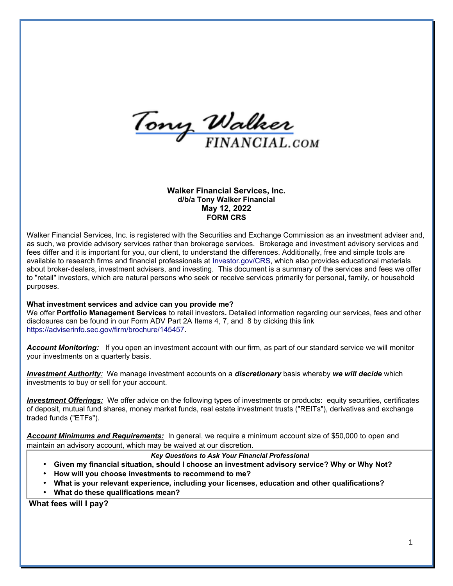Tony Walker

**Walker Financial Services, Inc. d/b/a Tony Walker Financial May 12, 2022 FORM CRS**

Walker Financial Services, Inc. is registered with the Securities and Exchange Commission as an investment adviser and, as such, we provide advisory services rather than brokerage services. Brokerage and investment advisory services and fees differ and it is important for you, our client, to understand the differences. Additionally, free and simple tools are available to research firms and financial professionals at *Investor.gov/CRS*, which also provides educational materials about broker-dealers, investment advisers, and investing. This document is a summary of the services and fees we offer to "retail" investors, which are natural persons who seek or receive services primarily for personal, family, or household purposes.

#### **What investment services and advice can you provide me?**

We offer **Portfolio Management Services** to retail investors**.** Detailed information regarding our services, fees and other disclosures can be found in our Form ADV Part 2A Items 4, 7, and 8 by clicking this link [https://adviserinfo.sec.gov/firm/brochure/145457.](https://adviserinfo.sec.gov/firm/brochure/145457)

*Account Monitoring:* If you open an investment account with our firm, as part of our standard service we will monitor your investments on a quarterly basis.

*Investment Authority:* We manage investment accounts on a *discretionary* basis whereby *we will decide* which investments to buy or sell for your account.

*Investment Offerings:* We offer advice on the following types of investments or products: equity securities, certificates of deposit, mutual fund shares, money market funds, real estate investment trusts ("REITs"), derivatives and exchange traded funds ("ETFs").

*Account Minimums and Requirements:* In general, we require a minimum account size of \$50,000 to open and maintain an advisory account, which may be waived at our discretion.

#### *Key Questions to Ask Your Financial Professional*

- **Given my financial situation, should I choose an investment advisory service? Why or Why Not?**
- **How will you choose investments to recommend to me?**
- **What is your relevant experience, including your licenses, education and other qualifications?**
- **What do these qualifications mean?**

**What fees will I pay?**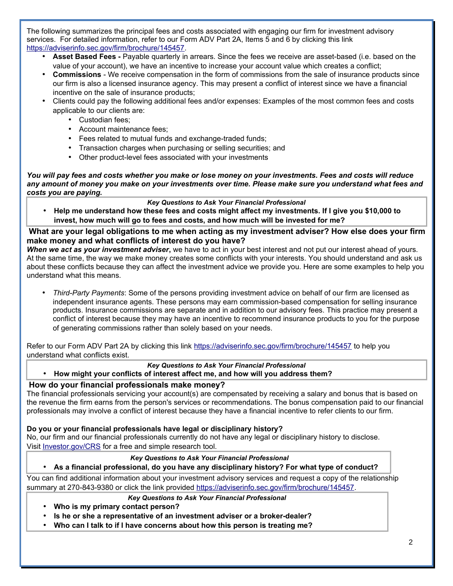The following summarizes the principal fees and costs associated with engaging our firm for investment advisory services. For detailed information, refer to our Form ADV Part 2A, Items 5 and 6 by clicking this link [https://adviserinfo.sec.gov/firm/brochure/145457.](https://adviserinfo.sec.gov/firm/brochure/145457)

- **Asset Based Fees -** Payable quarterly in arrears. Since the fees we receive are asset-based (i.e. based on the value of your account), we have an incentive to increase your account value which creates a conflict;
- **Commissions** We receive compensation in the form of commissions from the sale of insurance products since our firm is also a licensed insurance agency. This may present a conflict of interest since we have a financial incentive on the sale of insurance products;
- Clients could pay the following additional fees and/or expenses: Examples of the most common fees and costs applicable to our clients are:
	- Custodian fees;
	- Account maintenance fees;
	- Fees related to mutual funds and exchange-traded funds;
	- Transaction charges when purchasing or selling securities; and
	- Other product-level fees associated with your investments

*You will pay fees and costs whether you make or lose money on your investments. Fees and costs will reduce any amount of money you make on your investments over time. Please make sure you understand what fees and costs you are paying.*

### *Key Questions to Ask Your Financial Professional*

• **Help me understand how these fees and costs might affect my investments. If I give you \$10,000 to invest, how much will go to fees and costs, and how much will be invested for me?**

**What are your legal obligations to me when acting as my investment adviser? How else does your firm make money and what conflicts of interest do you have?**

*When we act as your investment adviser***,** we have to act in your best interest and not put our interest ahead of yours. At the same time, the way we make money creates some conflicts with your interests. You should understand and ask us about these conflicts because they can affect the investment advice we provide you. Here are some examples to help you understand what this means.

• *Third-Party Payments*: Some of the persons providing investment advice on behalf of our firm are licensed as independent insurance agents. These persons may earn commission-based compensation for selling insurance products. Insurance commissions are separate and in addition to our advisory fees. This practice may present a conflict of interest because they may have an incentive to recommend insurance products to you for the purpose of generating commissions rather than solely based on your needs.

Refer to our Form ADV Part 2A by clicking this link<https://adviserinfo.sec.gov/firm/brochure/145457> to help you understand what conflicts exist.

## *Key Questions to Ask Your Financial Professional*

• **How might your conflicts of interest affect me, and how will you address them?**

## **How do your financial professionals make money?**

The financial professionals servicing your account(s) are compensated by receiving a salary and bonus that is based on the revenue the firm earns from the person's services or recommendations. The bonus compensation paid to our financial professionals may involve a conflict of interest because they have a financial incentive to refer clients to our firm.

## **Do you or your financial professionals have legal or disciplinary history?**

No, our firm and our financial professionals currently do not have any legal or disciplinary history to disclose. Visit [Investor.gov/CRS](http://www.investor.gov/crs) for a free and simple research tool.

#### *Key Questions to Ask Your Financial Professional*

#### • **As a financial professional, do you have any disciplinary history? For what type of conduct?**

You can find additional information about your investment advisory services and request a copy of the relationship summary at 270-843-9380 or click the link provided [https://adviserinfo.sec.gov/firm/brochure/145457.](https://adviserinfo.sec.gov/firm/brochure/145457)

#### *Key Questions to Ask Your Financial Professional*

- **Who is my primary contact person?**
- **Is he or she a representative of an investment adviser or a broker-dealer?**
- **Who can I talk to if I have concerns about how this person is treating me?**